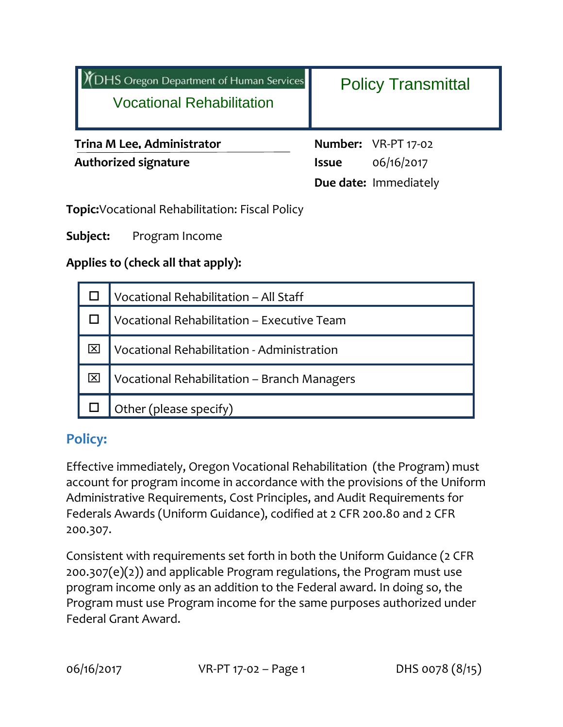| <b>TDHS Oregon Department of Human Services</b><br><b>Vocational Rehabilitation</b> | <b>Policy Transmittal</b>                                                  |
|-------------------------------------------------------------------------------------|----------------------------------------------------------------------------|
| <b>Trina M Lee, Administrator</b><br><b>Authorized signature</b>                    | Number: VR-PT 17-02<br>06/16/2017<br><b>Issue</b><br>Due date: Immediately |

**Topic:**Vocational Rehabilitation: Fiscal Policy

**Subject:** Program Income

**Applies to (check all that apply):**

| Vocational Rehabilitation - All Staff       |
|---------------------------------------------|
| Vocational Rehabilitation - Executive Team  |
| Vocational Rehabilitation - Administration  |
| Vocational Rehabilitation - Branch Managers |
| Other (please specify)                      |

# **Policy:**

Effective immediately, Oregon Vocational Rehabilitation (the Program) must account for program income in accordance with the provisions of the Uniform Administrative Requirements, Cost Principles, and Audit Requirements for Federals Awards (Uniform Guidance), codified at 2 CFR 200.80 and 2 CFR 200.307.

Consistent with requirements set forth in both the Uniform Guidance (2 CFR 200.307(e)(2)) and applicable Program regulations, the Program must use program income only as an addition to the Federal award. In doing so, the Program must use Program income for the same purposes authorized under Federal Grant Award.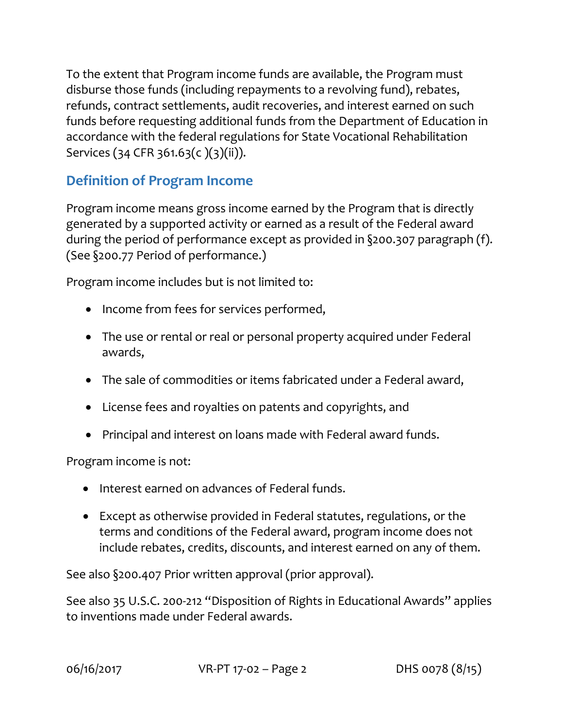To the extent that Program income funds are available, the Program must disburse those funds (including repayments to a revolving fund), rebates, refunds, contract settlements, audit recoveries, and interest earned on such funds before requesting additional funds from the Department of Education in accordance with the federal regulations for State Vocational Rehabilitation Services (34 CFR 361.63(c )(3)(ii)).

# **Definition of Program Income**

Program income means gross income earned by the Program that is directly generated by a supported activity or earned as a result of the Federal award during the period of performance except as provided in §200.307 paragraph (f). (See §200.77 Period of performance.)

Program income includes but is not limited to:

- Income from fees for services performed,
- The use or rental or real or personal property acquired under Federal awards,
- The sale of commodities or items fabricated under a Federal award,
- License fees and royalties on patents and copyrights, and
- Principal and interest on loans made with Federal award funds.

Program income is not:

- Interest earned on advances of Federal funds.
- Except as otherwise provided in Federal statutes, regulations, or the terms and conditions of the Federal award, program income does not include rebates, credits, discounts, and interest earned on any of them.

See also §200.407 Prior written approval (prior approval).

See also 35 U.S.C. 200-212 "Disposition of Rights in Educational Awards" applies to inventions made under Federal awards.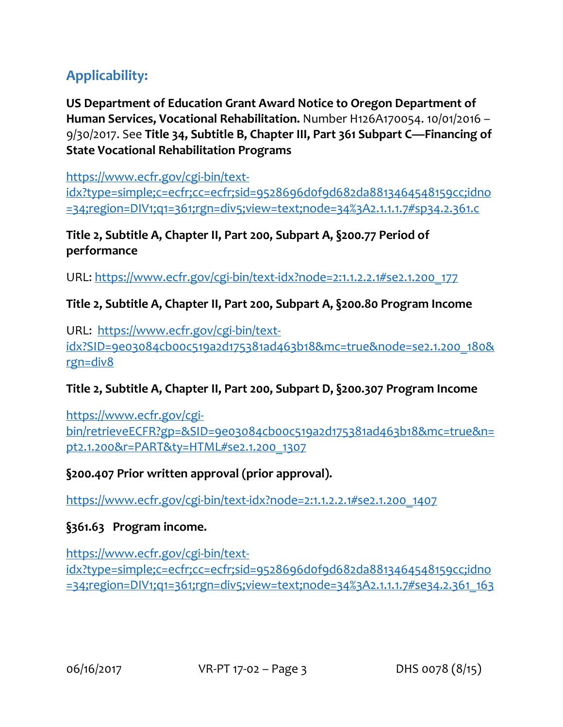# **Applicability:**

**US Department of Education Grant Award Notice to Oregon Department of Human Services, Vocational Rehabilitation.** Number H126A170054. 10/01/2016 – 9/30/2017. See **Title 34, Subtitle B, Chapter III, Part 361 Subpart C—Financing of State Vocational Rehabilitation Programs**

[https://www.ecfr.gov/cgi-bin/text](https://www.ecfr.gov/cgi-bin/text-idx?type=simple;c=ecfr;cc=ecfr;sid=9528696d0f9d682da8813464548159cc;idno=34;region=DIV1;q1=361;rgn=div5;view=text;node=34%3A2.1.1.1.7#sp34.2.361.c)[idx?type=simple;c=ecfr;cc=ecfr;sid=9528696d0f9d682da8813464548159cc;idno](https://www.ecfr.gov/cgi-bin/text-idx?type=simple;c=ecfr;cc=ecfr;sid=9528696d0f9d682da8813464548159cc;idno=34;region=DIV1;q1=361;rgn=div5;view=text;node=34%3A2.1.1.1.7#sp34.2.361.c) [=34;region=DIV1;q1=361;rgn=div5;view=text;node=34%3A2.1.1.1.7#sp34.2.361.c](https://www.ecfr.gov/cgi-bin/text-idx?type=simple;c=ecfr;cc=ecfr;sid=9528696d0f9d682da8813464548159cc;idno=34;region=DIV1;q1=361;rgn=div5;view=text;node=34%3A2.1.1.1.7#sp34.2.361.c)

**Title 2, Subtitle A, Chapter II, Part 200, Subpart A, §200.77 Period of performance**

URL: [https://www.ecfr.gov/cgi-bin/text-idx?node=2:1.1.2.2.1#se2.1.200\\_177](https://www.ecfr.gov/cgi-bin/text-idx?node=2:1.1.2.2.1#se2.1.200_177)

### **Title 2, Subtitle A, Chapter II, Part 200, Subpart A, §200.80 Program Income**

URL: [https://www.ecfr.gov/cgi-bin/text](https://www.ecfr.gov/cgi-bin/text-idx?SID=9e03084cb00c519a2d175381ad463b18&mc=true&node=se2.1.200_180&rgn=div8)[idx?SID=9e03084cb00c519a2d175381ad463b18&mc=true&node=se2.1.200\\_180&](https://www.ecfr.gov/cgi-bin/text-idx?SID=9e03084cb00c519a2d175381ad463b18&mc=true&node=se2.1.200_180&rgn=div8) [rgn=div8](https://www.ecfr.gov/cgi-bin/text-idx?SID=9e03084cb00c519a2d175381ad463b18&mc=true&node=se2.1.200_180&rgn=div8)

# **Title 2, Subtitle A, Chapter II, Part 200, Subpart D, §200.307 Program Income**

[https://www.ecfr.gov/cgi](https://www.ecfr.gov/cgi-bin/retrieveECFR?gp=&SID=9e03084cb00c519a2d175381ad463b18&mc=true&n=pt2.1.200&r=PART&ty=HTML#se2.1.200_1307)[bin/retrieveECFR?gp=&SID=9e03084cb00c519a2d175381ad463b18&mc=true&n=](https://www.ecfr.gov/cgi-bin/retrieveECFR?gp=&SID=9e03084cb00c519a2d175381ad463b18&mc=true&n=pt2.1.200&r=PART&ty=HTML#se2.1.200_1307) [pt2.1.200&r=PART&ty=HTML#se2.1.200\\_1307](https://www.ecfr.gov/cgi-bin/retrieveECFR?gp=&SID=9e03084cb00c519a2d175381ad463b18&mc=true&n=pt2.1.200&r=PART&ty=HTML#se2.1.200_1307)

# **§200.407 Prior written approval (prior approval).**

[https://www.ecfr.gov/cgi-bin/text-idx?node=2:1.1.2.2.1#se2.1.200\\_1407](https://www.ecfr.gov/cgi-bin/text-idx?node=2:1.1.2.2.1#se2.1.200_1407)

#### **§361.63 Program income.**

[https://www.ecfr.gov/cgi-bin/text](https://www.ecfr.gov/cgi-bin/text-idx?type=simple;c=ecfr;cc=ecfr;sid=9528696d0f9d682da8813464548159cc;idno=34;region=DIV1;q1=361;rgn=div5;view=text;node=34%3A2.1.1.1.7#se34.2.361_163)[idx?type=simple;c=ecfr;cc=ecfr;sid=9528696d0f9d682da8813464548159cc;idno](https://www.ecfr.gov/cgi-bin/text-idx?type=simple;c=ecfr;cc=ecfr;sid=9528696d0f9d682da8813464548159cc;idno=34;region=DIV1;q1=361;rgn=div5;view=text;node=34%3A2.1.1.1.7#se34.2.361_163) [=34;region=DIV1;q1=361;rgn=div5;view=text;node=34%3A2.1.1.1.7#se34.2.361\\_163](https://www.ecfr.gov/cgi-bin/text-idx?type=simple;c=ecfr;cc=ecfr;sid=9528696d0f9d682da8813464548159cc;idno=34;region=DIV1;q1=361;rgn=div5;view=text;node=34%3A2.1.1.1.7#se34.2.361_163)